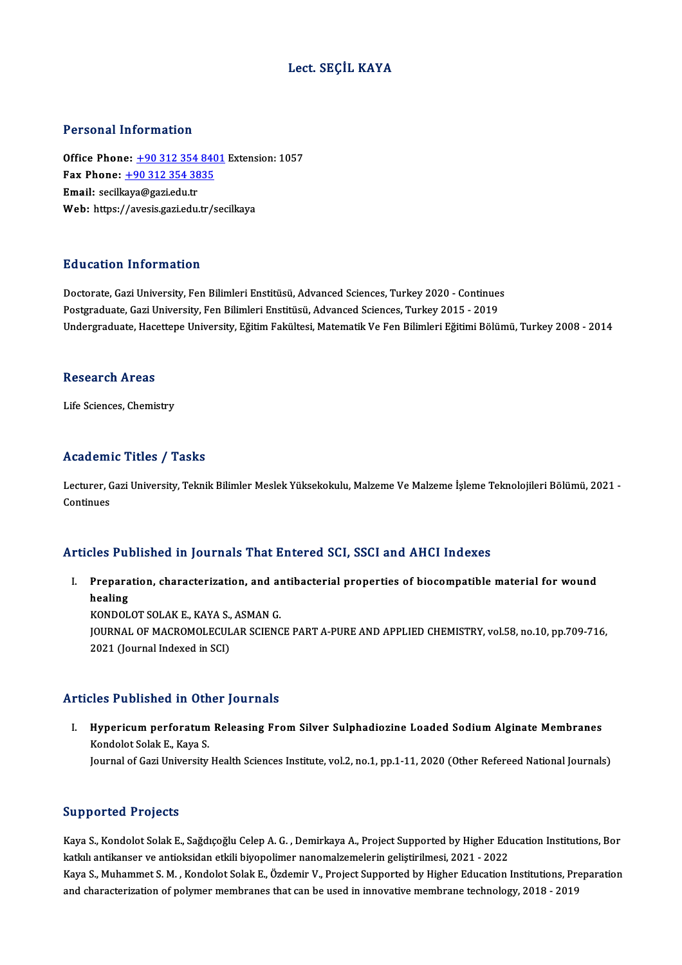### Lect. SEÇİL KAYA

#### Personal Information

Office Phone: +90 312 354 8401 Extension: 1057 1 0100111 11101 1111011<br>Office Phone: <u>+90 312 354 840</u><br>Fax Phone: <u>+90 312 354 3835</u> Office Phone: <u>+90 312 354</u><br>Fax Phone: <u>+90 312 354 38</u><br>Email: secilk[aya@gazi.edu.tr](tel:+90 312 354 3835) Email: secilkaya@gazi.edu.tr<br>Web: https://avesis.gazi.edu.tr/secilkaya

#### Education Information

Education Information<br>Doctorate, Gazi University, Fen Bilimleri Enstitüsü, Advanced Sciences, Turkey 2020 - Continues<br>Postareduate Cazi University, Fen Bilimleri Enstitüsü, Advanced Sciences, Turkey 2015 - 2019 Pu u sutrom minominustom<br>Doctorate, Gazi University, Fen Bilimleri Enstitüsü, Advanced Sciences, Turkey 2020 - Continue:<br>Postgraduate, Gazi University, Fen Bilimleri Enstitüsü, Advanced Sciences, Turkey 2015 - 2019<br>Undergr Postgraduate, Gazi University, Fen Bilimleri Enstitüsü, Advanced Sciences, Turkey 2015 - 2019<br>Undergraduate, Hacettepe University, Eğitim Fakültesi, Matematik Ve Fen Bilimleri Eğitimi Bölümü, Turkey 2008 - 2014

#### Research Areas

Life Sciences, Chemistry

#### Academic Titles / Tasks

**Academic Titles / Tasks**<br>Lecturer, Gazi University, Teknik Bilimler Meslek Yüksekokulu, Malzeme Ve Malzeme İşleme Teknolojileri Bölümü, 2021 -<br>Continues Lecturer, C<br>Lecturer, C<br>Continues

## Articles Published in Journals That Entered SCI, SSCI and AHCI Indexes

rticles Published in Journals That Entered SCI, SSCI and AHCI Indexes<br>I. Preparation, characterization, and antibacterial properties of biocompatible material for wound<br>healing hes Fun<br>Prepara<br>healing<br>KONDOL Preparation, characterization, and al<br>healing<br>KONDOLOT SOLAK E., KAYA S., ASMAN G.<br>JOUPMAL OF MACROMOLECULAR SCIENC

healing<br>KONDOLOT SOLAK E., KAYA S., ASMAN G.<br>JOURNAL OF MACROMOLECULAR SCIENCE PART A-PURE AND APPLIED CHEMISTRY, vol.58, no.10, pp.709-716,<br>2021 (Journal Indexed in SCI) KONDOLOT SOLAK E., KAYA S.,<br>JOURNAL OF MACROMOLECUL<br>2021 (Journal Indexed in SCI)

#### Articles Published in Other Journals

I. Hypericum perforatum Releasing From Silver Sulphadiozine Loaded Sodium Alginate Membranes Kondolot Solak E., Kaya S. Journal of Gazi University Health Sciences Institute, vol.2, no.1, pp.1-11, 2020 (Other Refereed National Journals)

#### Supported Projects

Supported Projects<br>Kaya S., Kondolot Solak E., Sağdıçoğlu Celep A. G. , Demirkaya A., Project Supported by Higher Education Institutions, Bor<br>Intluk antikanser ve antioksiden etkik biyanelimer nanemakamalerin gelistirilmes kaya S., Kondolot Solak E., Sağdıçoğlu Celep A. G. , Demirkaya A., Project Supported by Higher Edu<br>katkılı antikanser ve antioksidan etkili biyopolimer nanomalzemelerin geliştirilmesi, 2021 - 2022<br>Kaya S. Muhammat S. M., K Kaya S., Kondolot Solak E., Sağdıçoğlu Celep A. G. , Demirkaya A., Project Supported by Higher Education Institutions, Bor<br>katkılı antikanser ve antioksidan etkili biyopolimer nanomalzemelerin geliştirilmesi, 2021 - 2022<br>K katkılı antikanser ve antioksidan etkili biyopolimer nanomalzemelerin geliştirilmesi, 2021 - 2022<br>Kaya S., Muhammet S. M. , Kondolot Solak E., Özdemir V., Project Supported by Higher Education Institutions, Preparation<br>and